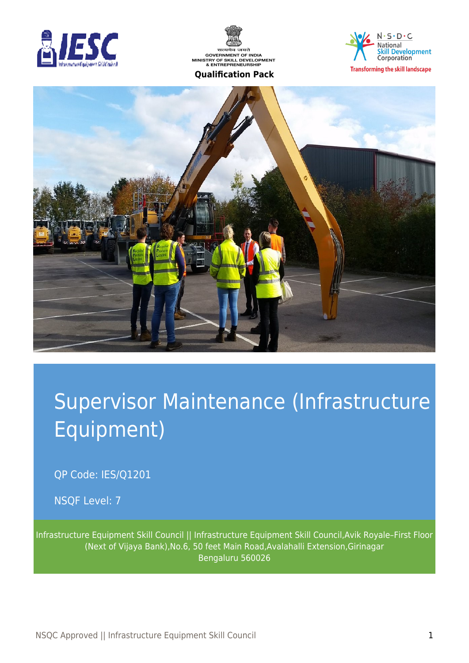





**Transforming the skill landscape** 



# Supervisor Maintenance (Infrastructure Equipment)

QP Code: IES/Q1201

NSQF Level: 7

Infrastructure Equipment Skill Council || Infrastructure Equipment Skill Council,Avik Royale–First Floor (Next of Vijaya Bank),No.6, 50 feet Main Road,Avalahalli Extension,Girinagar Bengaluru 560026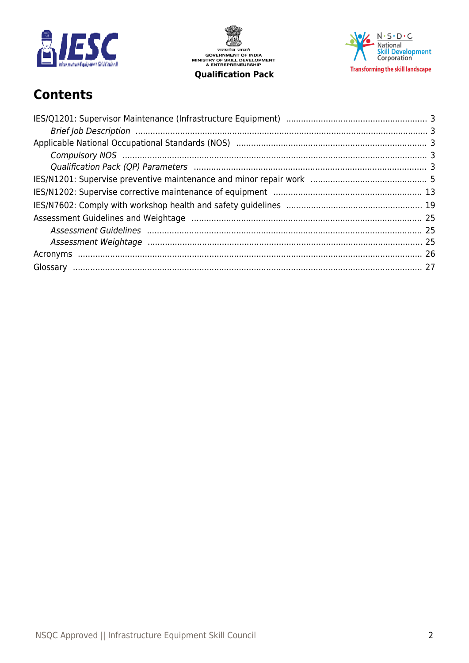

सत्यमेव जयते<br>GOVERNMENT OF INDIA<br>MINISTRY OF SKILL DEVELOPMENT<br>& ENTREPRENEURSHIP **Qualification Pack** 

 $N \cdot S \cdot D \cdot C$ National<br>Skill Development<br>Corporation **Transforming the skill landscape** 

# **Contents**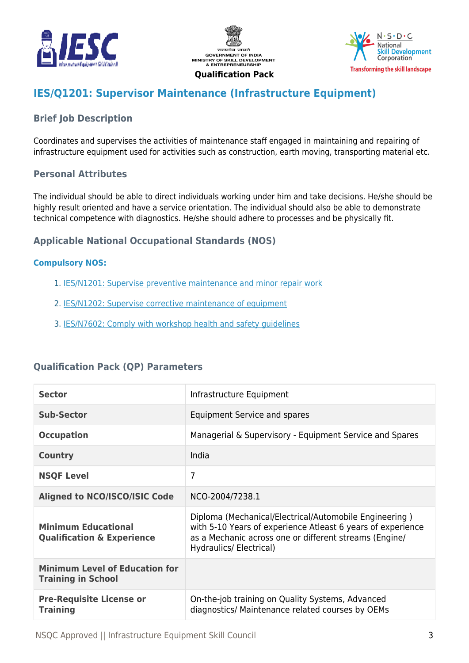





# <span id="page-2-0"></span>**IES/Q1201: Supervisor Maintenance (Infrastructure Equipment)**

# <span id="page-2-1"></span>**Brief Job Description**

Coordinates and supervises the activities of maintenance staff engaged in maintaining and repairing of infrastructure equipment used for activities such as construction, earth moving, transporting material etc.

#### **Personal Attributes**

The individual should be able to direct individuals working under him and take decisions. He/she should be highly result oriented and have a service orientation. The individual should also be able to demonstrate technical competence with diagnostics. He/she should adhere to processes and be physically fit.

# <span id="page-2-2"></span>**Applicable National Occupational Standards (NOS)**

#### <span id="page-2-3"></span>**Compulsory NOS:**

- 1. [IES/N1201: Supervise preventive maintenance and minor repair work](#page-4-0)
- 2. [IES/N1202: Supervise corrective maintenance of equipment](#page-12-0)
- 3. [IES/N7602: Comply with workshop health and safety guidelines](#page-18-0)

# <span id="page-2-4"></span>**Qualification Pack (QP) Parameters**

| <b>Sector</b>                                                       | Infrastructure Equipment                                                                                                                                                                                   |
|---------------------------------------------------------------------|------------------------------------------------------------------------------------------------------------------------------------------------------------------------------------------------------------|
| Sub-Sector                                                          | Equipment Service and spares                                                                                                                                                                               |
| <b>Occupation</b>                                                   | Managerial & Supervisory - Equipment Service and Spares                                                                                                                                                    |
| <b>Country</b>                                                      | India                                                                                                                                                                                                      |
| <b>NSQF Level</b>                                                   | 7                                                                                                                                                                                                          |
| <b>Aligned to NCO/ISCO/ISIC Code</b>                                | NCO-2004/7238.1                                                                                                                                                                                            |
| <b>Minimum Educational</b><br><b>Qualification &amp; Experience</b> | Diploma (Mechanical/Electrical/Automobile Engineering)<br>with 5-10 Years of experience Atleast 6 years of experience<br>as a Mechanic across one or different streams (Engine/<br>Hydraulics/ Electrical) |
| <b>Minimum Level of Education for</b><br><b>Training in School</b>  |                                                                                                                                                                                                            |
| <b>Pre-Requisite License or</b><br><b>Training</b>                  | On-the-job training on Quality Systems, Advanced<br>diagnostics/ Maintenance related courses by OEMs                                                                                                       |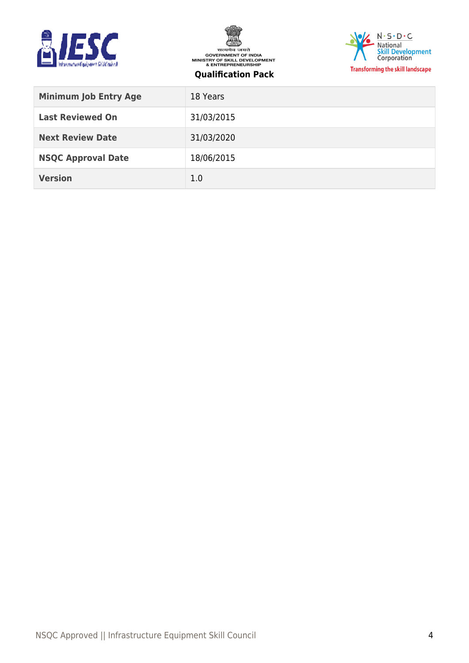





| <b>Minimum Job Entry Age</b> | 18 Years   |
|------------------------------|------------|
| <b>Last Reviewed On</b>      | 31/03/2015 |
| <b>Next Review Date</b>      | 31/03/2020 |
| <b>NSQC Approval Date</b>    | 18/06/2015 |
| <b>Version</b>               | 1.0        |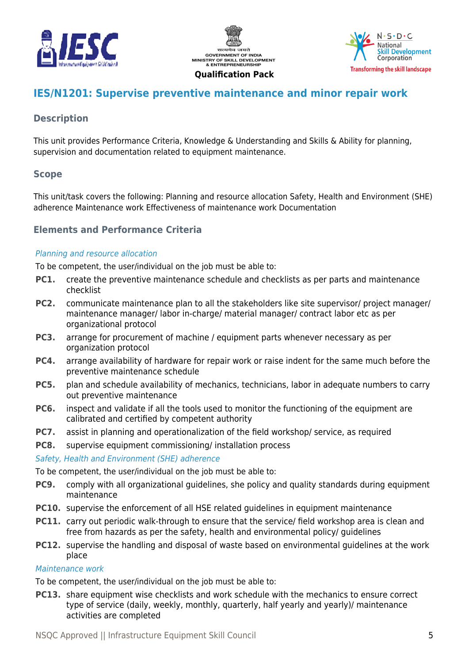





# <span id="page-4-0"></span>**IES/N1201: Supervise preventive maintenance and minor repair work**

# **Description**

This unit provides Performance Criteria, Knowledge & Understanding and Skills & Ability for planning, supervision and documentation related to equipment maintenance.

# **Scope**

This unit/task covers the following: Planning and resource allocation Safety, Health and Environment (SHE) adherence Maintenance work Effectiveness of maintenance work Documentation

# **Elements and Performance Criteria**

#### Planning and resource allocation

To be competent, the user/individual on the job must be able to:

- **PC1.** create the preventive maintenance schedule and checklists as per parts and maintenance checklist
- **PC2.** communicate maintenance plan to all the stakeholders like site supervisor/ project manager/ maintenance manager/ labor in-charge/ material manager/ contract labor etc as per organizational protocol
- **PC3.** arrange for procurement of machine / equipment parts whenever necessary as per organization protocol
- **PC4.** arrange availability of hardware for repair work or raise indent for the same much before the preventive maintenance schedule
- **PC5.** plan and schedule availability of mechanics, technicians, labor in adequate numbers to carry out preventive maintenance
- **PC6.** inspect and validate if all the tools used to monitor the functioning of the equipment are calibrated and certified by competent authority
- **PC7.** assist in planning and operationalization of the field workshop/ service, as required
- **PC8.** supervise equipment commissioning/ installation process

Safety, Health and Environment (SHE) adherence

To be competent, the user/individual on the job must be able to:

- **PC9.** comply with all organizational guidelines, she policy and quality standards during equipment maintenance
- **PC10.** supervise the enforcement of all HSE related guidelines in equipment maintenance
- **PC11.** carry out periodic walk-through to ensure that the service/ field workshop area is clean and free from hazards as per the safety, health and environmental policy/ guidelines
- **PC12.** supervise the handling and disposal of waste based on environmental guidelines at the work place

#### Maintenance work

To be competent, the user/individual on the job must be able to:

**PC13.** share equipment wise checklists and work schedule with the mechanics to ensure correct type of service (daily, weekly, monthly, quarterly, half yearly and yearly)/ maintenance activities are completed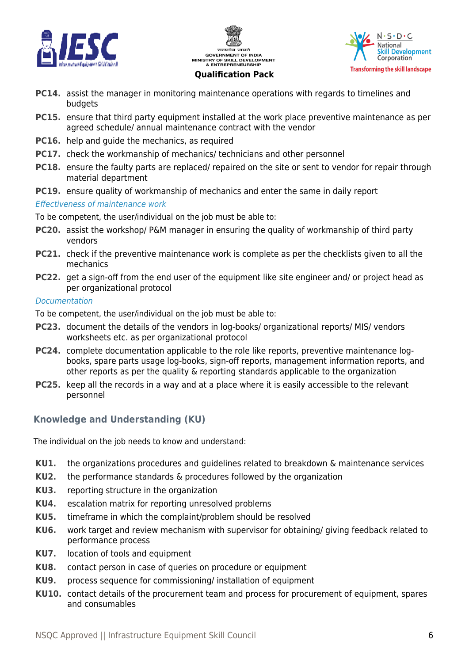





#### **PC14.** assist the manager in monitoring maintenance operations with regards to timelines and budgets

- **PC15.** ensure that third party equipment installed at the work place preventive maintenance as per agreed schedule/ annual maintenance contract with the vendor
- **PC16.** help and guide the mechanics, as required
- **PC17.** check the workmanship of mechanics/ technicians and other personnel
- **PC18.** ensure the faulty parts are replaced/ repaired on the site or sent to vendor for repair through material department
- **PC19.** ensure quality of workmanship of mechanics and enter the same in daily report

#### Effectiveness of maintenance work

To be competent, the user/individual on the job must be able to:

- **PC20.** assist the workshop/ P&M manager in ensuring the quality of workmanship of third party vendors
- **PC21.** check if the preventive maintenance work is complete as per the checklists given to all the mechanics
- **PC22.** get a sign-off from the end user of the equipment like site engineer and/ or project head as per organizational protocol

#### Documentation

To be competent, the user/individual on the job must be able to:

- **PC23.** document the details of the vendors in log-books/ organizational reports/ MIS/ vendors worksheets etc. as per organizational protocol
- **PC24.** complete documentation applicable to the role like reports, preventive maintenance logbooks, spare parts usage log-books, sign-off reports, management information reports, and other reports as per the quality & reporting standards applicable to the organization
- **PC25.** keep all the records in a way and at a place where it is easily accessible to the relevant personnel

# **Knowledge and Understanding (KU)**

The individual on the job needs to know and understand:

- **KU1.** the organizations procedures and guidelines related to breakdown & maintenance services
- **KU2.** the performance standards & procedures followed by the organization
- **KU3.** reporting structure in the organization
- **KU4.** escalation matrix for reporting unresolved problems
- **KU5.** timeframe in which the complaint/problem should be resolved
- **KU6.** work target and review mechanism with supervisor for obtaining/ giving feedback related to performance process
- **KU7.** location of tools and equipment
- **KU8.** contact person in case of queries on procedure or equipment
- **KU9.** process sequence for commissioning/ installation of equipment
- **KU10.** contact details of the procurement team and process for procurement of equipment, spares and consumables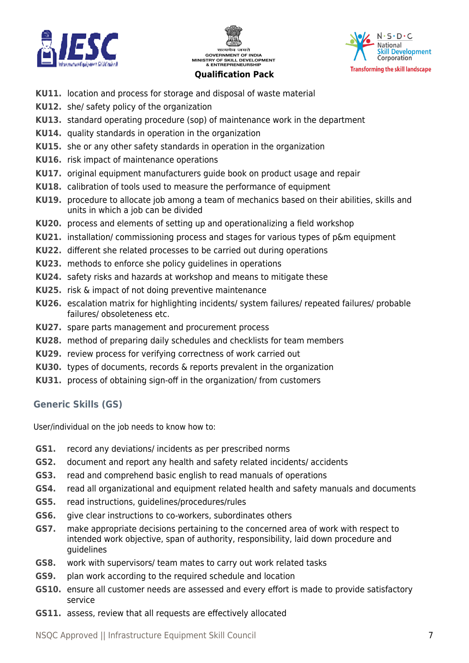





- **KU11.** location and process for storage and disposal of waste material
- **KU12.** she/ safety policy of the organization
- **KU13.** standard operating procedure (sop) of maintenance work in the department
- **KU14.** quality standards in operation in the organization
- **KU15.** she or any other safety standards in operation in the organization
- **KU16.** risk impact of maintenance operations
- **KU17.** original equipment manufacturers guide book on product usage and repair
- **KU18.** calibration of tools used to measure the performance of equipment
- **KU19.** procedure to allocate job among a team of mechanics based on their abilities, skills and units in which a job can be divided
- **KU20.** process and elements of setting up and operationalizing a field workshop
- **KU21.** installation/ commissioning process and stages for various types of p&m equipment
- **KU22.** different she related processes to be carried out during operations
- **KU23.** methods to enforce she policy guidelines in operations
- **KU24.** safety risks and hazards at workshop and means to mitigate these
- **KU25.** risk & impact of not doing preventive maintenance
- **KU26.** escalation matrix for highlighting incidents/ system failures/ repeated failures/ probable failures/ obsoleteness etc.
- **KU27.** spare parts management and procurement process
- **KU28.** method of preparing daily schedules and checklists for team members
- **KU29.** review process for verifying correctness of work carried out
- **KU30.** types of documents, records & reports prevalent in the organization
- **KU31.** process of obtaining sign-off in the organization/ from customers

# **Generic Skills (GS)**

User/individual on the job needs to know how to:

- **GS1.** record any deviations/ incidents as per prescribed norms
- **GS2.** document and report any health and safety related incidents/ accidents
- **GS3.** read and comprehend basic english to read manuals of operations
- **GS4.** read all organizational and equipment related health and safety manuals and documents
- **GS5.** read instructions, guidelines/procedures/rules
- **GS6.** give clear instructions to co-workers, subordinates others
- **GS7.** make appropriate decisions pertaining to the concerned area of work with respect to intended work objective, span of authority, responsibility, laid down procedure and guidelines
- **GS8.** work with supervisors/ team mates to carry out work related tasks
- **GS9.** plan work according to the required schedule and location
- **GS10.** ensure all customer needs are assessed and every effort is made to provide satisfactory service
- **GS11.** assess, review that all requests are effectively allocated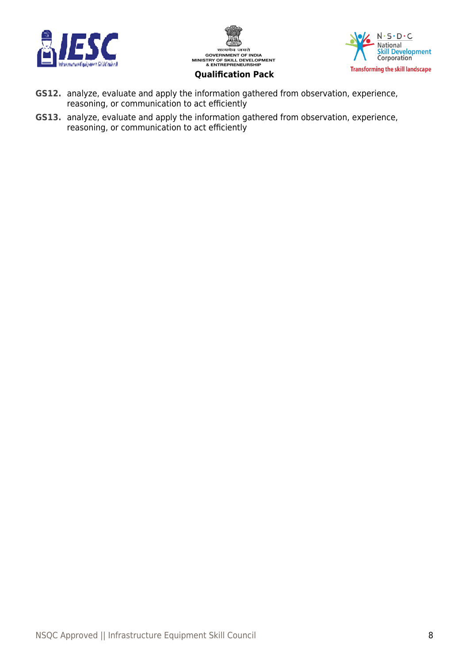





**GS12.** analyze, evaluate and apply the information gathered from observation, experience, reasoning, or communication to act efficiently

**GS13.** analyze, evaluate and apply the information gathered from observation, experience, reasoning, or communication to act efficiently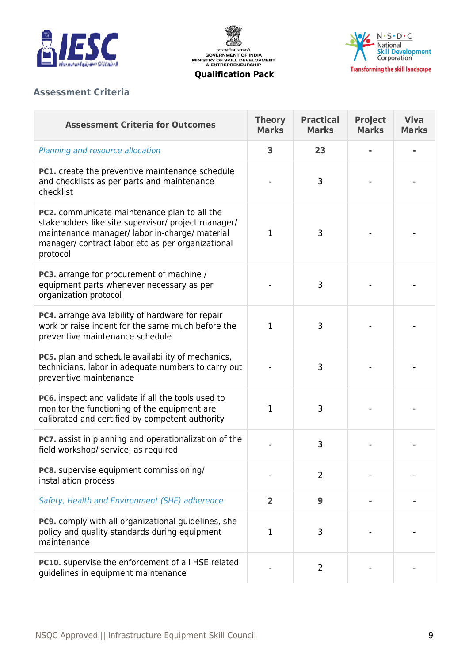





# **Assessment Criteria**

| <b>Assessment Criteria for Outcomes</b>                                                                                                                                                                                | <b>Theory</b><br><b>Marks</b> | <b>Practical</b><br><b>Marks</b> | <b>Project</b><br><b>Marks</b> | <b>Viva</b><br><b>Marks</b> |
|------------------------------------------------------------------------------------------------------------------------------------------------------------------------------------------------------------------------|-------------------------------|----------------------------------|--------------------------------|-----------------------------|
| Planning and resource allocation                                                                                                                                                                                       | 3                             | 23                               |                                |                             |
| PC1. create the preventive maintenance schedule<br>and checklists as per parts and maintenance<br>checklist                                                                                                            |                               | 3                                |                                |                             |
| PC2. communicate maintenance plan to all the<br>stakeholders like site supervisor/ project manager/<br>maintenance manager/ labor in-charge/ material<br>manager/ contract labor etc as per organizational<br>protocol | 1                             | 3                                |                                |                             |
| PC3. arrange for procurement of machine /<br>equipment parts whenever necessary as per<br>organization protocol                                                                                                        |                               | 3                                |                                |                             |
| PC4. arrange availability of hardware for repair<br>work or raise indent for the same much before the<br>preventive maintenance schedule                                                                               | 1                             | 3                                |                                |                             |
| PC5. plan and schedule availability of mechanics,<br>technicians, labor in adequate numbers to carry out<br>preventive maintenance                                                                                     |                               | 3                                |                                |                             |
| <b>PC6.</b> inspect and validate if all the tools used to<br>monitor the functioning of the equipment are<br>calibrated and certified by competent authority                                                           | 1                             | 3                                |                                |                             |
| PC7. assist in planning and operationalization of the<br>field workshop/ service, as required                                                                                                                          |                               | 3                                |                                |                             |
| PC8. supervise equipment commissioning/<br>installation process                                                                                                                                                        |                               | $\overline{2}$                   |                                |                             |
| Safety, Health and Environment (SHE) adherence                                                                                                                                                                         | $\overline{2}$                | 9                                |                                |                             |
| PC9. comply with all organizational guidelines, she<br>policy and quality standards during equipment<br>maintenance                                                                                                    | 1                             | 3                                |                                |                             |
| PC10. supervise the enforcement of all HSE related<br>guidelines in equipment maintenance                                                                                                                              |                               | $\overline{2}$                   |                                |                             |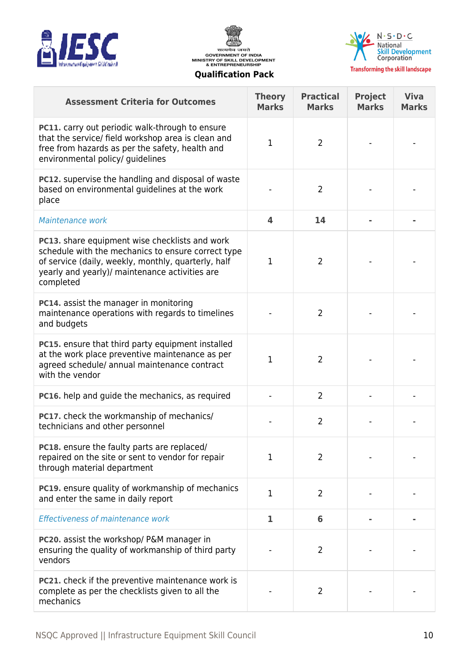





**Viva Marks**

**Project Marks**

#### **Qualification Pack**

**Assessment Criteria for Outcomes Theory**

|  |  | ualification Pack |  |  |
|--|--|-------------------|--|--|
|--|--|-------------------|--|--|

**Marks**

**Practical Marks**

| PC11. carry out periodic walk-through to ensure<br>that the service/ field workshop area is clean and<br>free from hazards as per the safety, health and<br>environmental policy/ guidelines                                      | $\mathbf{1}$            | $\overline{2}$ |  |
|-----------------------------------------------------------------------------------------------------------------------------------------------------------------------------------------------------------------------------------|-------------------------|----------------|--|
| PC12. supervise the handling and disposal of waste<br>based on environmental guidelines at the work<br>place                                                                                                                      |                         | $\overline{2}$ |  |
| Maintenance work                                                                                                                                                                                                                  | $\overline{\mathbf{4}}$ | 14             |  |
| <b>PC13.</b> share equipment wise checklists and work<br>schedule with the mechanics to ensure correct type<br>of service (daily, weekly, monthly, quarterly, half<br>yearly and yearly)/ maintenance activities are<br>completed | $\mathbf{1}$            | $\overline{2}$ |  |
| <b>PC14.</b> assist the manager in monitoring<br>maintenance operations with regards to timelines<br>and budgets                                                                                                                  |                         | 2              |  |
| PC15. ensure that third party equipment installed<br>at the work place preventive maintenance as per<br>agreed schedule/ annual maintenance contract<br>with the vendor                                                           | $\mathbf{1}$            | $\overline{2}$ |  |
| PC16. help and guide the mechanics, as required                                                                                                                                                                                   |                         | $\overline{2}$ |  |
| PC17. check the workmanship of mechanics/<br>technicians and other personnel                                                                                                                                                      |                         | $\overline{2}$ |  |
| PC18. ensure the faulty parts are replaced/<br>repaired on the site or sent to vendor for repair<br>through material department                                                                                                   | $\mathbf 1$             | $\overline{2}$ |  |
| PC19. ensure quality of workmanship of mechanics                                                                                                                                                                                  | п                       |                |  |

**PC20.** assist the workshop/ P&M manager in

vendors

mechanics

ensuring the quality of workmanship of third party

**PC21.** check if the preventive maintenance work is complete as per the checklists given to all the

**PCIS.** Ensure quality of WOLKMAISHIP OF MECHANICS  $\begin{vmatrix} 1 & 2 \end{vmatrix}$  2

Effectiveness of maintenance work **1 6 - -**

- 2 | - | -

- 2 | - | -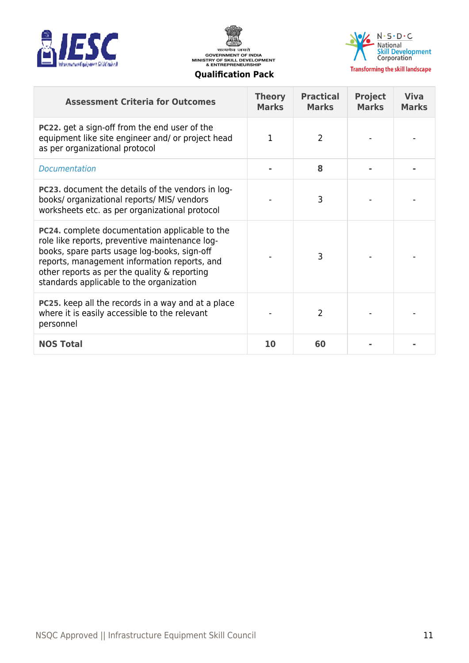





| <b>Assessment Criteria for Outcomes</b>                                                                                                                                                                                                                                                      | <b>Theory</b><br><b>Marks</b> | <b>Practical</b><br><b>Marks</b> | <b>Project</b><br><b>Marks</b> | <b>Viva</b><br><b>Marks</b> |
|----------------------------------------------------------------------------------------------------------------------------------------------------------------------------------------------------------------------------------------------------------------------------------------------|-------------------------------|----------------------------------|--------------------------------|-----------------------------|
| <b>PC22.</b> get a sign-off from the end user of the<br>equipment like site engineer and/ or project head<br>as per organizational protocol                                                                                                                                                  | 1                             | $\overline{2}$                   |                                |                             |
| Documentation                                                                                                                                                                                                                                                                                |                               | 8                                |                                |                             |
| <b>PC23.</b> document the details of the vendors in log-<br>books/organizational reports/MIS/vendors<br>worksheets etc. as per organizational protocol                                                                                                                                       |                               | 3                                |                                |                             |
| PC24. complete documentation applicable to the<br>role like reports, preventive maintenance log-<br>books, spare parts usage log-books, sign-off<br>reports, management information reports, and<br>other reports as per the quality & reporting<br>standards applicable to the organization |                               | 3                                |                                |                             |
| PC25. keep all the records in a way and at a place<br>where it is easily accessible to the relevant<br>personnel                                                                                                                                                                             |                               | 2                                |                                |                             |
| <b>NOS Total</b>                                                                                                                                                                                                                                                                             | 10                            | 60                               |                                |                             |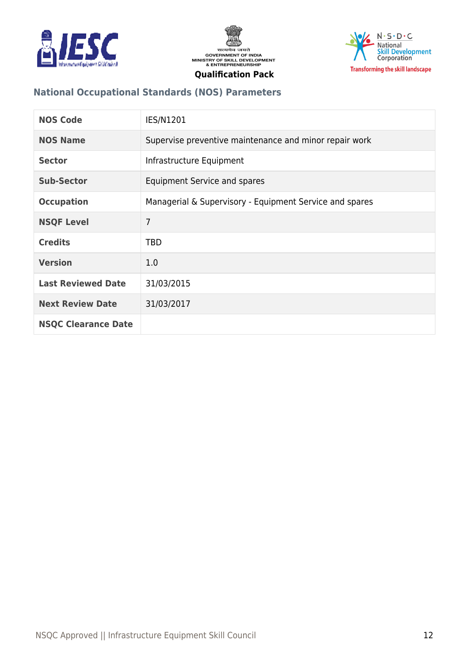





# **National Occupational Standards (NOS) Parameters**

| <b>NOS Code</b>            | <b>IES/N1201</b>                                        |
|----------------------------|---------------------------------------------------------|
| <b>NOS Name</b>            | Supervise preventive maintenance and minor repair work  |
| <b>Sector</b>              | Infrastructure Equipment                                |
| <b>Sub-Sector</b>          | Equipment Service and spares                            |
| <b>Occupation</b>          | Managerial & Supervisory - Equipment Service and spares |
| <b>NSQF Level</b>          | $\overline{7}$                                          |
| <b>Credits</b>             | <b>TBD</b>                                              |
| <b>Version</b>             | 1.0                                                     |
| <b>Last Reviewed Date</b>  | 31/03/2015                                              |
| <b>Next Review Date</b>    | 31/03/2017                                              |
| <b>NSQC Clearance Date</b> |                                                         |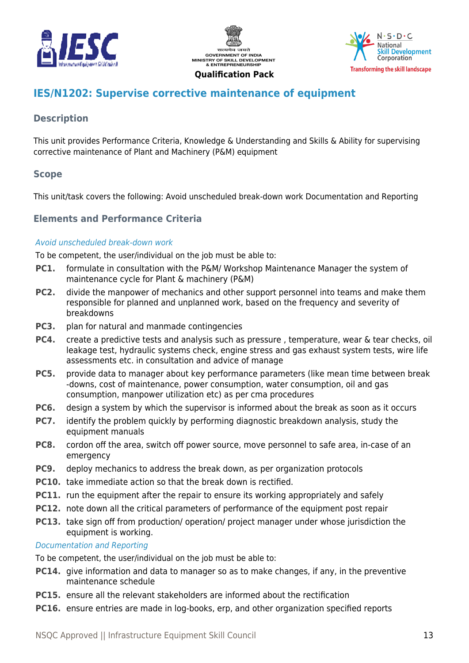





# <span id="page-12-0"></span>**IES/N1202: Supervise corrective maintenance of equipment**

# **Description**

This unit provides Performance Criteria, Knowledge & Understanding and Skills & Ability for supervising corrective maintenance of Plant and Machinery (P&M) equipment

# **Scope**

This unit/task covers the following: Avoid unscheduled break-down work Documentation and Reporting

# **Elements and Performance Criteria**

#### Avoid unscheduled break-down work

To be competent, the user/individual on the job must be able to:

- **PC1.** formulate in consultation with the P&M/ Workshop Maintenance Manager the system of maintenance cycle for Plant & machinery (P&M)
- **PC2.** divide the manpower of mechanics and other support personnel into teams and make them responsible for planned and unplanned work, based on the frequency and severity of breakdowns
- **PC3.** plan for natural and manmade contingencies
- **PC4.** create a predictive tests and analysis such as pressure , temperature, wear & tear checks, oil leakage test, hydraulic systems check, engine stress and gas exhaust system tests, wire life assessments etc. in consultation and advice of manage
- **PC5.** provide data to manager about key performance parameters (like mean time between break -downs, cost of maintenance, power consumption, water consumption, oil and gas consumption, manpower utilization etc) as per cma procedures
- **PC6.** design a system by which the supervisor is informed about the break as soon as it occurs
- **PC7.** identify the problem quickly by performing diagnostic breakdown analysis, study the equipment manuals
- **PC8.** cordon off the area, switch off power source, move personnel to safe area, in-case of an emergency
- **PC9.** deploy mechanics to address the break down, as per organization protocols
- **PC10.** take immediate action so that the break down is rectified.
- **PC11.** run the equipment after the repair to ensure its working appropriately and safely
- **PC12.** note down all the critical parameters of performance of the equipment post repair
- **PC13.** take sign off from production/ operation/ project manager under whose jurisdiction the equipment is working.

#### Documentation and Reporting

To be competent, the user/individual on the job must be able to:

- **PC14.** give information and data to manager so as to make changes, if any, in the preventive maintenance schedule
- **PC15.** ensure all the relevant stakeholders are informed about the rectification
- **PC16.** ensure entries are made in log-books, erp, and other organization specified reports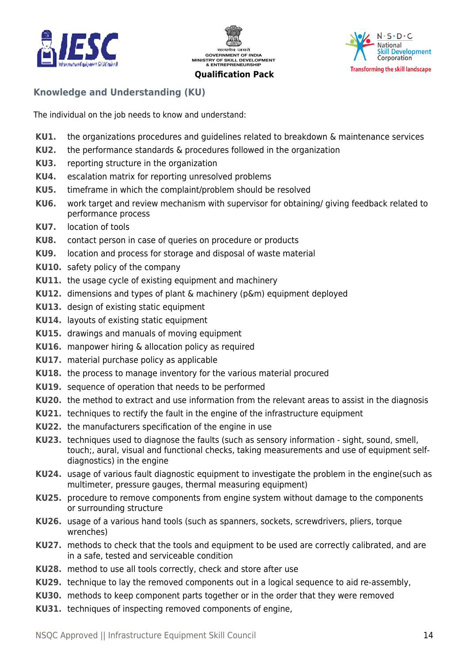





# **Knowledge and Understanding (KU)**

The individual on the job needs to know and understand:

- **KU1.** the organizations procedures and guidelines related to breakdown & maintenance services
- **KU2.** the performance standards & procedures followed in the organization
- **KU3.** reporting structure in the organization
- **KU4.** escalation matrix for reporting unresolved problems
- **KU5.** timeframe in which the complaint/problem should be resolved
- **KU6.** work target and review mechanism with supervisor for obtaining/ giving feedback related to performance process
- **KU7.** location of tools
- **KU8.** contact person in case of queries on procedure or products
- **KU9.** location and process for storage and disposal of waste material
- **KU10.** safety policy of the company
- **KU11.** the usage cycle of existing equipment and machinery
- **KU12.** dimensions and types of plant & machinery (p&m) equipment deployed
- **KU13.** design of existing static equipment
- **KU14.** layouts of existing static equipment
- **KU15.** drawings and manuals of moving equipment
- **KU16.** manpower hiring & allocation policy as required
- **KU17.** material purchase policy as applicable
- **KU18.** the process to manage inventory for the various material procured
- **KU19.** sequence of operation that needs to be performed
- **KU20.** the method to extract and use information from the relevant areas to assist in the diagnosis
- **KU21.** techniques to rectify the fault in the engine of the infrastructure equipment
- **KU22.** the manufacturers specification of the engine in use
- **KU23.** techniques used to diagnose the faults (such as sensory information sight, sound, smell, touch;, aural, visual and functional checks, taking measurements and use of equipment selfdiagnostics) in the engine
- **KU24.** usage of various fault diagnostic equipment to investigate the problem in the engine(such as multimeter, pressure gauges, thermal measuring equipment)
- **KU25.** procedure to remove components from engine system without damage to the components or surrounding structure
- **KU26.** usage of a various hand tools (such as spanners, sockets, screwdrivers, pliers, torque wrenches)
- **KU27.** methods to check that the tools and equipment to be used are correctly calibrated, and are in a safe, tested and serviceable condition
- **KU28.** method to use all tools correctly, check and store after use
- **KU29.** technique to lay the removed components out in a logical sequence to aid re-assembly,
- **KU30.** methods to keep component parts together or in the order that they were removed
- **KU31.** techniques of inspecting removed components of engine,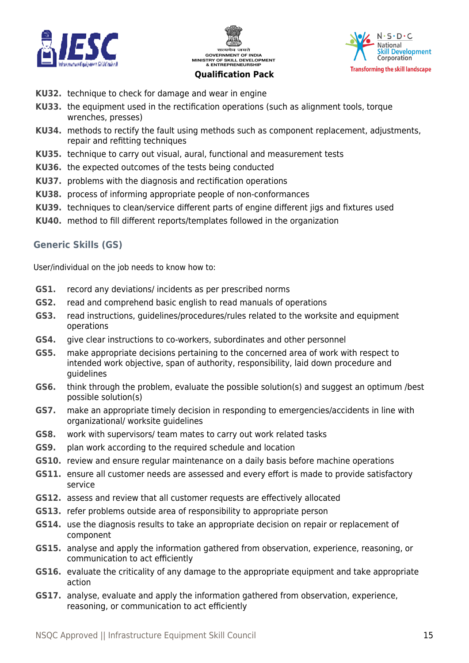





- **KU32.** technique to check for damage and wear in engine
- **KU33.** the equipment used in the rectification operations (such as alignment tools, torque wrenches, presses)
- **KU34.** methods to rectify the fault using methods such as component replacement, adjustments, repair and refitting techniques
- **KU35.** technique to carry out visual, aural, functional and measurement tests
- **KU36.** the expected outcomes of the tests being conducted
- **KU37.** problems with the diagnosis and rectification operations
- **KU38.** process of informing appropriate people of non-conformances
- **KU39.** techniques to clean/service different parts of engine different jigs and fixtures used
- **KU40.** method to fill different reports/templates followed in the organization

# **Generic Skills (GS)**

User/individual on the job needs to know how to:

- **GS1.** record any deviations/ incidents as per prescribed norms
- **GS2.** read and comprehend basic english to read manuals of operations
- **GS3.** read instructions, guidelines/procedures/rules related to the worksite and equipment operations
- **GS4.** give clear instructions to co-workers, subordinates and other personnel
- **GS5.** make appropriate decisions pertaining to the concerned area of work with respect to intended work objective, span of authority, responsibility, laid down procedure and guidelines
- **GS6.** think through the problem, evaluate the possible solution(s) and suggest an optimum /best possible solution(s)
- **GS7.** make an appropriate timely decision in responding to emergencies/accidents in line with organizational/ worksite guidelines
- **GS8.** work with supervisors/ team mates to carry out work related tasks
- **GS9.** plan work according to the required schedule and location
- **GS10.** review and ensure regular maintenance on a daily basis before machine operations
- **GS11.** ensure all customer needs are assessed and every effort is made to provide satisfactory service
- **GS12.** assess and review that all customer requests are effectively allocated
- **GS13.** refer problems outside area of responsibility to appropriate person
- **GS14.** use the diagnosis results to take an appropriate decision on repair or replacement of component
- **GS15.** analyse and apply the information gathered from observation, experience, reasoning, or communication to act efficiently
- **GS16.** evaluate the criticality of any damage to the appropriate equipment and take appropriate action
- **GS17.** analyse, evaluate and apply the information gathered from observation, experience, reasoning, or communication to act efficiently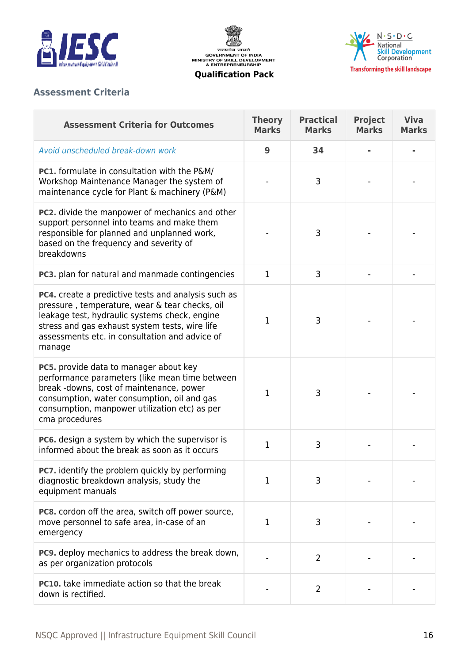





# **Assessment Criteria**

| <b>Assessment Criteria for Outcomes</b>                                                                                                                                                                                                                                     | <b>Theory</b><br><b>Marks</b> | <b>Practical</b><br><b>Marks</b> | <b>Project</b><br><b>Marks</b> | <b>Viva</b><br><b>Marks</b> |
|-----------------------------------------------------------------------------------------------------------------------------------------------------------------------------------------------------------------------------------------------------------------------------|-------------------------------|----------------------------------|--------------------------------|-----------------------------|
| Avoid unscheduled break-down work                                                                                                                                                                                                                                           | 9                             | 34                               |                                |                             |
| <b>PC1.</b> formulate in consultation with the P&M/<br>Workshop Maintenance Manager the system of<br>maintenance cycle for Plant & machinery (P&M)                                                                                                                          |                               | 3                                |                                |                             |
| PC2. divide the manpower of mechanics and other<br>support personnel into teams and make them<br>responsible for planned and unplanned work,<br>based on the frequency and severity of<br>breakdowns                                                                        |                               | 3                                |                                |                             |
| PC3. plan for natural and manmade contingencies                                                                                                                                                                                                                             | $\mathbf{1}$                  | 3                                |                                |                             |
| <b>PC4.</b> create a predictive tests and analysis such as<br>pressure, temperature, wear & tear checks, oil<br>leakage test, hydraulic systems check, engine<br>stress and gas exhaust system tests, wire life<br>assessments etc. in consultation and advice of<br>manage | $\mathbf{1}$                  | 3                                |                                |                             |
| PC5. provide data to manager about key<br>performance parameters (like mean time between<br>break -downs, cost of maintenance, power<br>consumption, water consumption, oil and gas<br>consumption, manpower utilization etc) as per<br>cma procedures                      | 1                             | 3                                |                                |                             |
| PC6. design a system by which the supervisor is<br>informed about the break as soon as it occurs                                                                                                                                                                            | 1                             | 3                                |                                |                             |
| <b>PC7.</b> identify the problem quickly by performing<br>diagnostic breakdown analysis, study the<br>equipment manuals                                                                                                                                                     | 1                             | 3                                |                                |                             |
| PC8. cordon off the area, switch off power source,<br>move personnel to safe area, in-case of an<br>emergency                                                                                                                                                               | 1                             | 3                                |                                |                             |
| <b>PC9.</b> deploy mechanics to address the break down,<br>as per organization protocols                                                                                                                                                                                    |                               | $\overline{2}$                   |                                |                             |
| <b>PC10.</b> take immediate action so that the break<br>down is rectified.                                                                                                                                                                                                  |                               | 2                                |                                |                             |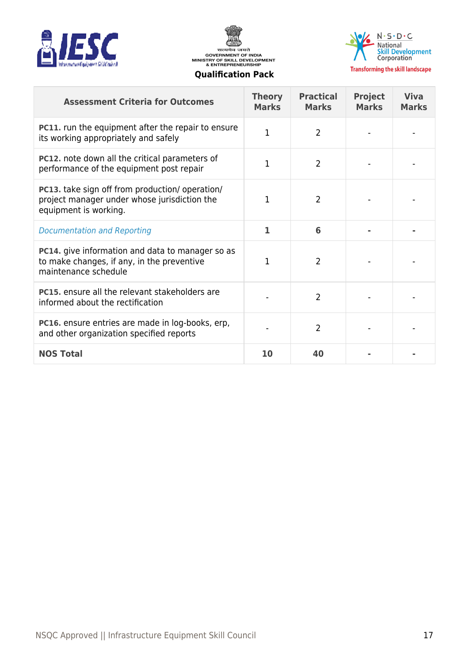





| <b>Assessment Criteria for Outcomes</b>                                                                                       | <b>Theory</b><br><b>Marks</b> | <b>Practical</b><br><b>Marks</b> | <b>Project</b><br><b>Marks</b> | <b>Viva</b><br><b>Marks</b> |
|-------------------------------------------------------------------------------------------------------------------------------|-------------------------------|----------------------------------|--------------------------------|-----------------------------|
| <b>PC11.</b> run the equipment after the repair to ensure<br>its working appropriately and safely                             | $\mathbf{1}$                  | $\overline{2}$                   |                                |                             |
| <b>PC12.</b> note down all the critical parameters of<br>performance of the equipment post repair                             | 1                             | $\overline{2}$                   |                                |                             |
| PC13. take sign off from production/ operation/<br>project manager under whose jurisdiction the<br>equipment is working.      | 1                             | $\overline{2}$                   |                                |                             |
| <b>Documentation and Reporting</b>                                                                                            | 1                             | 6                                |                                |                             |
| <b>PC14.</b> give information and data to manager so as<br>to make changes, if any, in the preventive<br>maintenance schedule | 1                             | 2                                |                                |                             |
| <b>PC15.</b> ensure all the relevant stakeholders are<br>informed about the rectification                                     |                               | $\overline{2}$                   |                                |                             |
| <b>PC16.</b> ensure entries are made in log-books, erp,<br>and other organization specified reports                           |                               | 2                                |                                |                             |
| <b>NOS Total</b>                                                                                                              | 10                            | 40                               |                                |                             |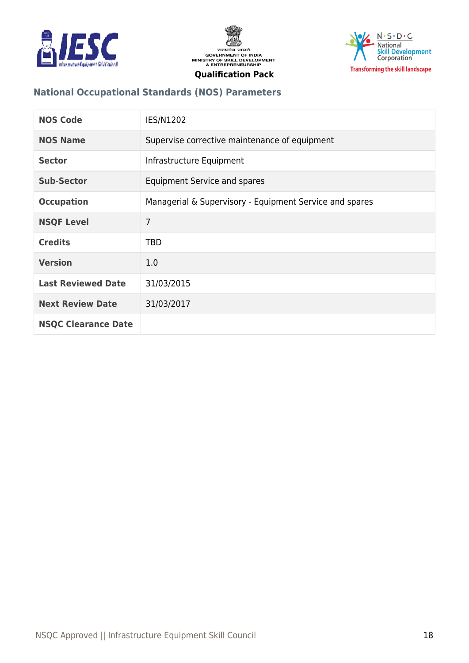





# **National Occupational Standards (NOS) Parameters**

| <b>NOS Code</b>            | IES/N1202                                               |
|----------------------------|---------------------------------------------------------|
| <b>NOS Name</b>            | Supervise corrective maintenance of equipment           |
| <b>Sector</b>              | Infrastructure Equipment                                |
| <b>Sub-Sector</b>          | Equipment Service and spares                            |
| <b>Occupation</b>          | Managerial & Supervisory - Equipment Service and spares |
| <b>NSQF Level</b>          | 7                                                       |
| <b>Credits</b>             | <b>TBD</b>                                              |
| <b>Version</b>             | 1.0                                                     |
| <b>Last Reviewed Date</b>  | 31/03/2015                                              |
| <b>Next Review Date</b>    | 31/03/2017                                              |
| <b>NSQC Clearance Date</b> |                                                         |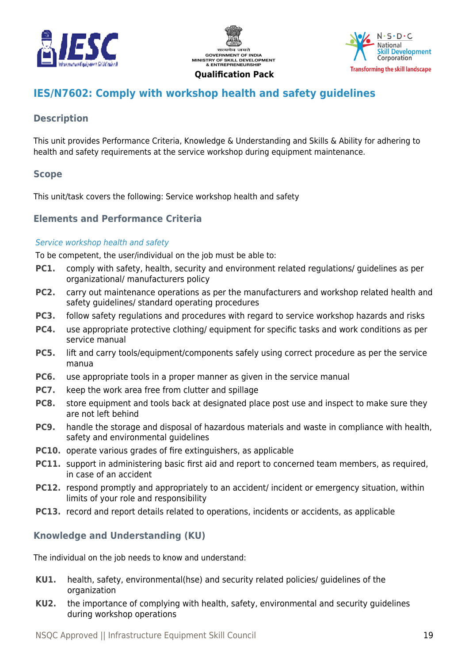





# <span id="page-18-0"></span>**IES/N7602: Comply with workshop health and safety guidelines**

# **Description**

This unit provides Performance Criteria, Knowledge & Understanding and Skills & Ability for adhering to health and safety requirements at the service workshop during equipment maintenance.

# **Scope**

This unit/task covers the following: Service workshop health and safety

# **Elements and Performance Criteria**

#### Service workshop health and safety

To be competent, the user/individual on the job must be able to:

- **PC1.** comply with safety, health, security and environment related regulations/ guidelines as per organizational/ manufacturers policy
- **PC2.** carry out maintenance operations as per the manufacturers and workshop related health and safety guidelines/ standard operating procedures
- **PC3.** follow safety regulations and procedures with regard to service workshop hazards and risks
- **PC4.** use appropriate protective clothing/ equipment for specific tasks and work conditions as per service manual
- **PC5.** lift and carry tools/equipment/components safely using correct procedure as per the service manua
- **PC6.** use appropriate tools in a proper manner as given in the service manual
- **PC7.** keep the work area free from clutter and spillage
- **PC8.** store equipment and tools back at designated place post use and inspect to make sure they are not left behind
- **PC9.** handle the storage and disposal of hazardous materials and waste in compliance with health, safety and environmental guidelines
- **PC10.** operate various grades of fire extinguishers, as applicable
- **PC11.** support in administering basic first aid and report to concerned team members, as required, in case of an accident
- **PC12.** respond promptly and appropriately to an accident/ incident or emergency situation, within limits of your role and responsibility
- **PC13.** record and report details related to operations, incidents or accidents, as applicable

# **Knowledge and Understanding (KU)**

The individual on the job needs to know and understand:

- **KU1.** health, safety, environmental(hse) and security related policies/ guidelines of the organization
- **KU2.** the importance of complying with health, safety, environmental and security guidelines during workshop operations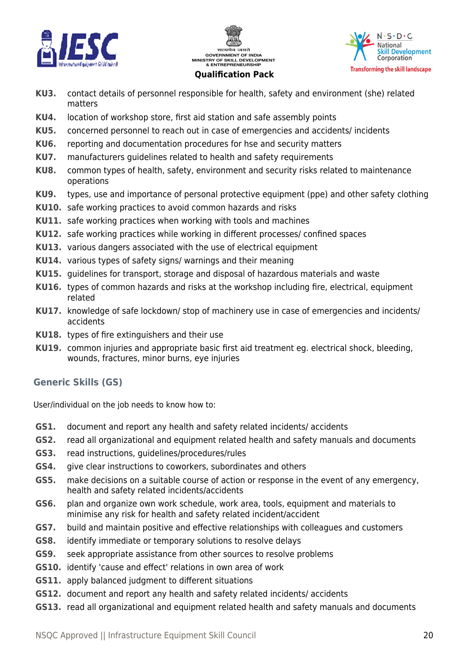





- **KU3.** contact details of personnel responsible for health, safety and environment (she) related matters
- **KU4.** location of workshop store, first aid station and safe assembly points
- **KU5.** concerned personnel to reach out in case of emergencies and accidents/ incidents
- **KU6.** reporting and documentation procedures for hse and security matters
- **KU7.** manufacturers guidelines related to health and safety requirements
- **KU8.** common types of health, safety, environment and security risks related to maintenance operations
- **KU9.** types, use and importance of personal protective equipment (ppe) and other safety clothing
- **KU10.** safe working practices to avoid common hazards and risks
- **KU11.** safe working practices when working with tools and machines
- **KU12.** safe working practices while working in different processes/ confined spaces
- **KU13.** various dangers associated with the use of electrical equipment
- **KU14.** various types of safety signs/ warnings and their meaning
- **KU15.** guidelines for transport, storage and disposal of hazardous materials and waste
- **KU16.** types of common hazards and risks at the workshop including fire, electrical, equipment related
- **KU17.** knowledge of safe lockdown/ stop of machinery use in case of emergencies and incidents/ accidents
- **KU18.** types of fire extinguishers and their use
- **KU19.** common injuries and appropriate basic first aid treatment eg. electrical shock, bleeding, wounds, fractures, minor burns, eye injuries

# **Generic Skills (GS)**

User/individual on the job needs to know how to:

- **GS1.** document and report any health and safety related incidents/ accidents
- **GS2.** read all organizational and equipment related health and safety manuals and documents
- **GS3.** read instructions, guidelines/procedures/rules
- **GS4.** give clear instructions to coworkers, subordinates and others
- **GS5.** make decisions on a suitable course of action or response in the event of any emergency, health and safety related incidents/accidents
- **GS6.** plan and organize own work schedule, work area, tools, equipment and materials to minimise any risk for health and safety related incident/accident
- **GS7.** build and maintain positive and effective relationships with colleagues and customers
- **GS8.** identify immediate or temporary solutions to resolve delays
- **GS9.** seek appropriate assistance from other sources to resolve problems
- **GS10.** identify 'cause and effect' relations in own area of work
- **GS11.** apply balanced judgment to different situations
- **GS12.** document and report any health and safety related incidents/ accidents
- **GS13.** read all organizational and equipment related health and safety manuals and documents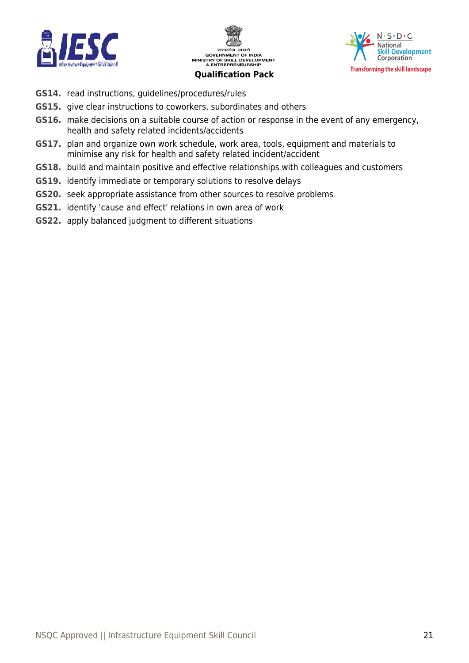





- **GS14.** read instructions, guidelines/procedures/rules
- **GS15.** give clear instructions to coworkers, subordinates and others
- **GS16.** make decisions on a suitable course of action or response in the event of any emergency, health and safety related incidents/accidents
- **GS17.** plan and organize own work schedule, work area, tools, equipment and materials to minimise any risk for health and safety related incident/accident
- **GS18.** build and maintain positive and effective relationships with colleagues and customers
- **GS19.** identify immediate or temporary solutions to resolve delays
- **GS20.** seek appropriate assistance from other sources to resolve problems
- **GS21.** identify 'cause and effect' relations in own area of work
- **GS22.** apply balanced judgment to different situations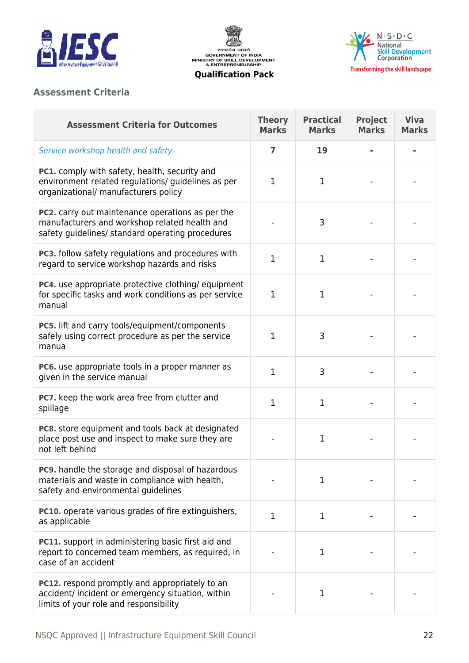





# **Assessment Criteria**

| <b>Assessment Criteria for Outcomes</b>                                                                                                                      | <b>Theory</b><br><b>Marks</b> | <b>Practical</b><br><b>Marks</b> | <b>Project</b><br><b>Marks</b> | <b>Viva</b><br><b>Marks</b> |
|--------------------------------------------------------------------------------------------------------------------------------------------------------------|-------------------------------|----------------------------------|--------------------------------|-----------------------------|
| Service workshop health and safety                                                                                                                           | 7                             | 19                               |                                |                             |
| PC1. comply with safety, health, security and<br>environment related regulations/ guidelines as per<br>organizational/ manufacturers policy                  | $\mathbf{1}$                  | 1                                |                                |                             |
| <b>PC2.</b> carry out maintenance operations as per the<br>manufacturers and workshop related health and<br>safety guidelines/ standard operating procedures |                               | 3                                |                                |                             |
| PC3. follow safety regulations and procedures with<br>regard to service workshop hazards and risks                                                           | $\mathbf 1$                   | 1                                |                                |                             |
| PC4. use appropriate protective clothing/equipment<br>for specific tasks and work conditions as per service<br>manual                                        | $\mathbf{1}$                  | 1                                |                                |                             |
| PC5. lift and carry tools/equipment/components<br>safely using correct procedure as per the service<br>manua                                                 | 1                             | 3                                |                                |                             |
| PC6. use appropriate tools in a proper manner as<br>given in the service manual                                                                              | $\mathbf{1}$                  | 3                                |                                |                             |
| PC7. keep the work area free from clutter and<br>spillage                                                                                                    | $\mathbf 1$                   | 1                                |                                |                             |
| PC8. store equipment and tools back at designated<br>place post use and inspect to make sure they are<br>not left behind                                     |                               | 1                                |                                |                             |
| <b>PC9.</b> handle the storage and disposal of hazardous<br>materials and waste in compliance with health,<br>safety and environmental guidelines            |                               | 1                                |                                |                             |
| PC10. operate various grades of fire extinguishers,<br>as applicable                                                                                         | 1                             | 1                                |                                |                             |
| PC11. support in administering basic first aid and<br>report to concerned team members, as required, in<br>case of an accident                               |                               | 1                                |                                |                             |
| <b>PC12.</b> respond promptly and appropriately to an<br>accident/ incident or emergency situation, within<br>limits of your role and responsibility         |                               | 1                                |                                |                             |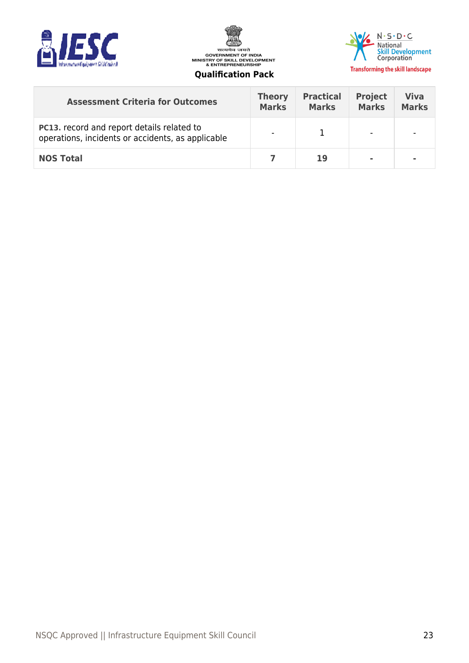





| <b>Assessment Criteria for Outcomes</b>                                                                | <b>Theory</b><br><b>Marks</b> | <b>Practical</b><br><b>Marks</b> | <b>Project</b><br><b>Marks</b> | <b>Viva</b><br><b>Marks</b> |
|--------------------------------------------------------------------------------------------------------|-------------------------------|----------------------------------|--------------------------------|-----------------------------|
| <b>PC13.</b> record and report details related to<br>operations, incidents or accidents, as applicable | $\overline{\phantom{a}}$      |                                  |                                |                             |
| <b>NOS Total</b>                                                                                       |                               | 19                               | $\blacksquare$                 |                             |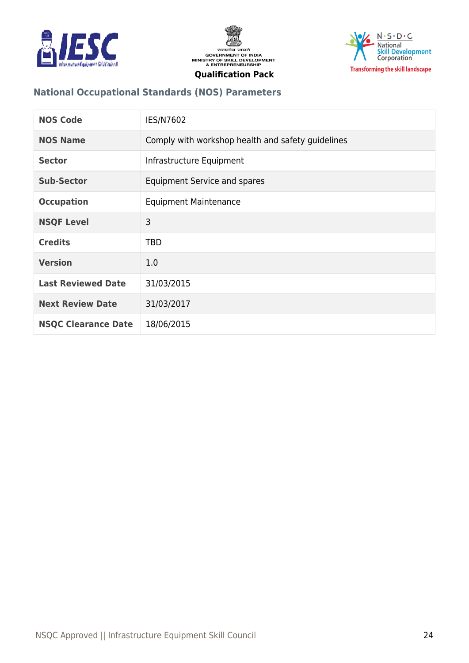





# **National Occupational Standards (NOS) Parameters**

| <b>NOS Code</b>            | IES/N7602                                         |
|----------------------------|---------------------------------------------------|
| <b>NOS Name</b>            | Comply with workshop health and safety guidelines |
| <b>Sector</b>              | Infrastructure Equipment                          |
| <b>Sub-Sector</b>          | <b>Equipment Service and spares</b>               |
| <b>Occupation</b>          | <b>Equipment Maintenance</b>                      |
| <b>NSQF Level</b>          | 3                                                 |
| <b>Credits</b>             | <b>TBD</b>                                        |
| <b>Version</b>             | 1.0                                               |
| <b>Last Reviewed Date</b>  | 31/03/2015                                        |
| <b>Next Review Date</b>    | 31/03/2017                                        |
| <b>NSQC Clearance Date</b> | 18/06/2015                                        |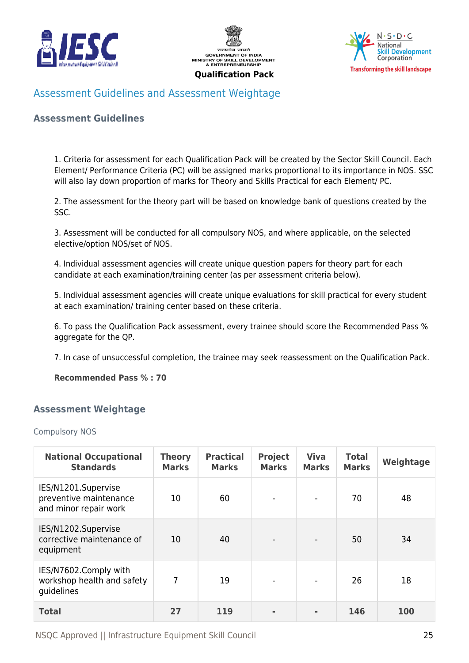





# <span id="page-24-0"></span>Assessment Guidelines and Assessment Weightage

#### **Assessment Guidelines**

1. Criteria for assessment for each Qualification Pack will be created by the Sector Skill Council. Each Element/ Performance Criteria (PC) will be assigned marks proportional to its importance in NOS. SSC will also lay down proportion of marks for Theory and Skills Practical for each Element/ PC.

2. The assessment for the theory part will be based on knowledge bank of questions created by the SSC.

3. Assessment will be conducted for all compulsory NOS, and where applicable, on the selected elective/option NOS/set of NOS.

4. Individual assessment agencies will create unique question papers for theory part for each candidate at each examination/training center (as per assessment criteria below).

5. Individual assessment agencies will create unique evaluations for skill practical for every student at each examination/ training center based on these criteria.

6. To pass the Qualification Pack assessment, every trainee should score the Recommended Pass % aggregate for the QP.

7. In case of unsuccessful completion, the trainee may seek reassessment on the Qualification Pack.

**Recommended Pass % : 70**

#### <span id="page-24-1"></span>**Assessment Weightage**

#### Compulsory NOS

| <b>National Occupational</b><br><b>Standards</b>                       | <b>Theory</b><br><b>Marks</b> | <b>Practical</b><br><b>Marks</b> | <b>Project</b><br><b>Marks</b> | <b>Viva</b><br><b>Marks</b> | <b>Total</b><br><b>Marks</b> | Weightage |
|------------------------------------------------------------------------|-------------------------------|----------------------------------|--------------------------------|-----------------------------|------------------------------|-----------|
| IES/N1201.Supervise<br>preventive maintenance<br>and minor repair work | 10                            | 60                               | $\overline{\phantom{a}}$       | $\overline{\phantom{a}}$    | 70                           | 48        |
| IES/N1202.Supervise<br>corrective maintenance of<br>equipment          | 10                            | 40                               |                                |                             | 50                           | 34        |
| IES/N7602.Comply with<br>workshop health and safety<br>guidelines      | 7                             | 19                               | $\overline{\phantom{a}}$       | $\overline{\phantom{a}}$    | 26                           | 18        |
| <b>Total</b>                                                           | 27                            | 119                              | $\blacksquare$                 | $\blacksquare$              | 146                          | 100       |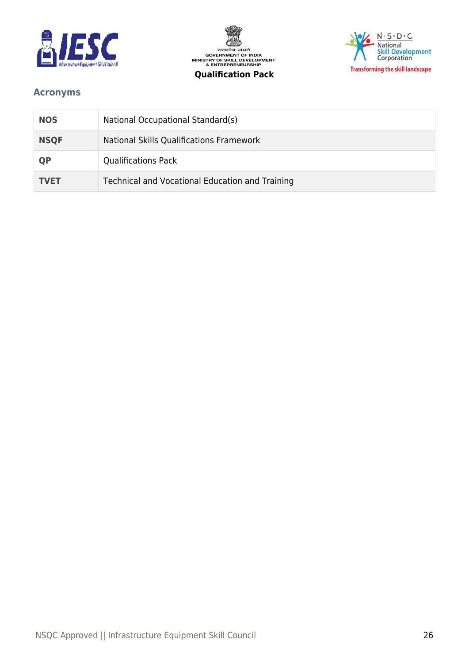





# <span id="page-25-0"></span>**Acronyms**

| <b>NOS</b>  | National Occupational Standard(s)               |
|-------------|-------------------------------------------------|
| <b>NSQF</b> | National Skills Qualifications Framework        |
| <b>QP</b>   | <b>Qualifications Pack</b>                      |
| <b>TVET</b> | Technical and Vocational Education and Training |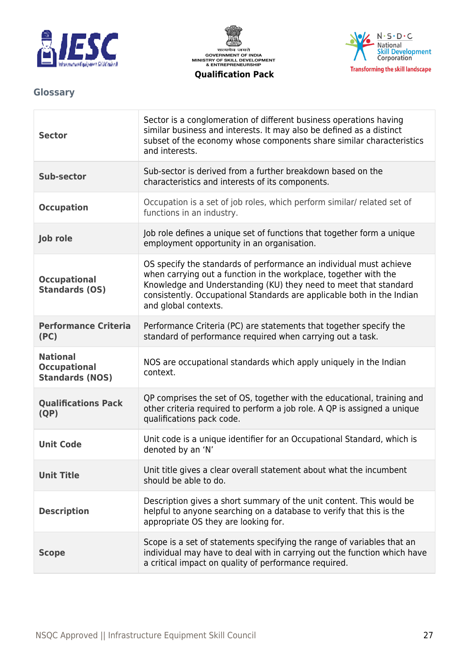





# <span id="page-26-0"></span>**Glossary**

| <b>Sector</b>                                                    | Sector is a conglomeration of different business operations having<br>similar business and interests. It may also be defined as a distinct<br>subset of the economy whose components share similar characteristics<br>and interests.                                                                         |
|------------------------------------------------------------------|--------------------------------------------------------------------------------------------------------------------------------------------------------------------------------------------------------------------------------------------------------------------------------------------------------------|
| <b>Sub-sector</b>                                                | Sub-sector is derived from a further breakdown based on the<br>characteristics and interests of its components.                                                                                                                                                                                              |
| <b>Occupation</b>                                                | Occupation is a set of job roles, which perform similar/ related set of<br>functions in an industry.                                                                                                                                                                                                         |
| Job role                                                         | Job role defines a unique set of functions that together form a unique<br>employment opportunity in an organisation.                                                                                                                                                                                         |
| <b>Occupational</b><br><b>Standards (OS)</b>                     | OS specify the standards of performance an individual must achieve<br>when carrying out a function in the workplace, together with the<br>Knowledge and Understanding (KU) they need to meet that standard<br>consistently. Occupational Standards are applicable both in the Indian<br>and global contexts. |
| <b>Performance Criteria</b><br>(PC)                              | Performance Criteria (PC) are statements that together specify the<br>standard of performance required when carrying out a task.                                                                                                                                                                             |
| <b>National</b><br><b>Occupational</b><br><b>Standards (NOS)</b> | NOS are occupational standards which apply uniquely in the Indian<br>context.                                                                                                                                                                                                                                |
| <b>Qualifications Pack</b><br>(QP)                               | QP comprises the set of OS, together with the educational, training and<br>other criteria required to perform a job role. A QP is assigned a unique<br>qualifications pack code.                                                                                                                             |
| <b>Unit Code</b>                                                 | Unit code is a unique identifier for an Occupational Standard, which is<br>denoted by an 'N'                                                                                                                                                                                                                 |
| <b>Unit Title</b>                                                | Unit title gives a clear overall statement about what the incumbent<br>should be able to do.                                                                                                                                                                                                                 |
| <b>Description</b>                                               | Description gives a short summary of the unit content. This would be<br>helpful to anyone searching on a database to verify that this is the<br>appropriate OS they are looking for.                                                                                                                         |
| <b>Scope</b>                                                     | Scope is a set of statements specifying the range of variables that an<br>individual may have to deal with in carrying out the function which have<br>a critical impact on quality of performance required.                                                                                                  |